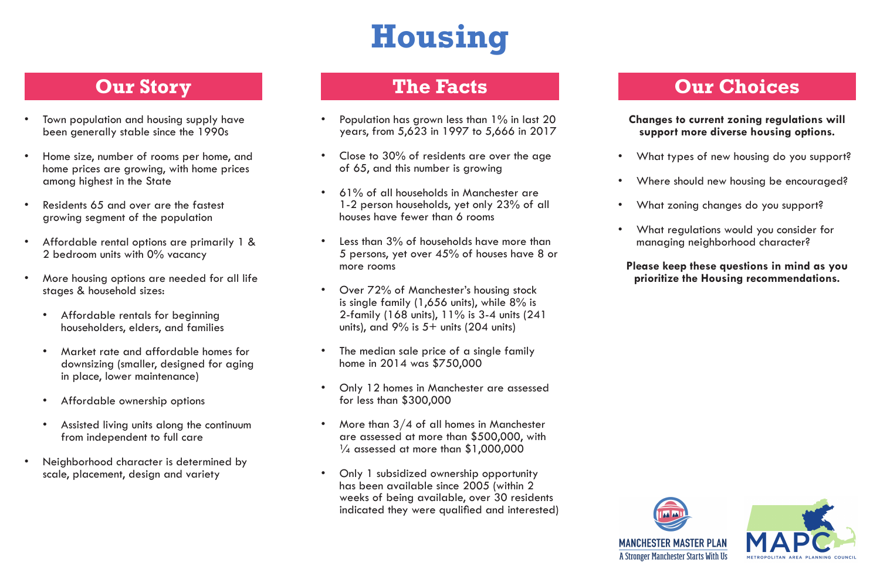# **Housing**

- Town population and housing supply have been generally stable since the 1990s
- Home size, number of rooms per home, and home prices are growing, with home prices among highest in the State
- Residents 65 and over are the fastest growing segment of the population
- Affordable rental options are primarily 1 & 2 bedroom units with 0% vacancy
- More housing options are needed for all life stages & household sizes:
	- Affordable rentals for beginning householders, elders, and families
	- Market rate and affordable homes for downsizing (smaller, designed for aging in place, lower maintenance)
	- Affordable ownership options
	- Assisted living units along the continuum from independent to full care
- Neighborhood character is determined by scale, placement, design and variety

## **Our Story**

- What types of new housing do you support?
- Where should new housing be encouraged?
- What zoning changes do you support?
- What regulations would you consider for managing neighborhood character?
- Population has grown less than 1% in last 20 years, from 5,623 in 1997 to 5,666 in 2017
- Close to 30% of residents are over the age of 65, and this number is growing
- 61% of all households in Manchester are 1-2 person households, yet only 23% of all houses have fewer than 6 rooms
- Less than 3% of households have more than 5 persons, yet over 45% of houses have 8 or more rooms
- Over 72% of Manchester's housing stock is single family (1,656 units), while 8% is 2-family (168 units), 11% is 3-4 units (241 units), and  $9\%$  is  $5+$  units (204 units)
- The median sale price of a single family home in 2014 was \$750,000
- Only 12 homes in Manchester are assessed for less than \$300,000
- More than  $3/4$  of all homes in Manchester are assessed at more than \$500,000, with  $\frac{1}{4}$  assessed at more than \$1,000,000
- Only 1 subsidized ownership opportunity has been available since 2005 (within 2 weeks of being available, over 30 residents indicated they were qualified and interested)

#### **The Facts**

#### **Changes to current zoning regulations will support more diverse housing options.**

#### **Please keep these questions in mind as you prioritize the Housing recommendations.**





# **Our Choices**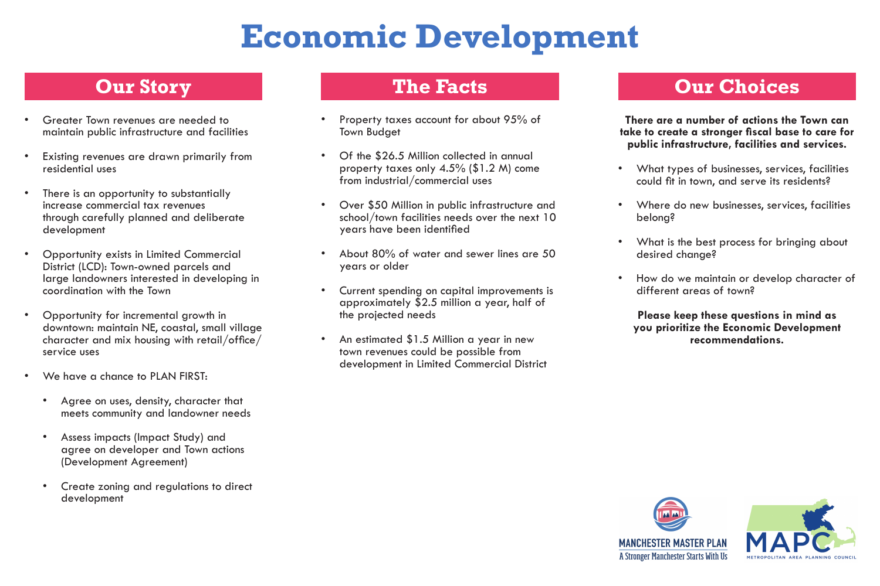# **Economic Development**

- Greater Town revenues are needed to maintain public infrastructure and facilities
- Existing revenues are drawn primarily from residential uses
- There is an opportunity to substantially increase commercial tax revenues through carefully planned and deliberate development
- Opportunity exists in Limited Commercial District (LCD): Town-owned parcels and large landowners interested in developing in coordination with the Town
- Opportunity for incremental growth in downtown: maintain NE, coastal, small village character and mix housing with retail/office/ service uses
- We have a chance to PLAN FIRST:
	- Agree on uses, density, character that meets community and landowner needs
	- Assess impacts (Impact Study) and agree on developer and Town actions (Development Agreement)
	- Create zoning and regulations to direct development
- Property taxes account for about 95% of Town Budget
- Of the \$26.5 Million collected in annual property taxes only 4.5% (\$1.2 M) come from industrial/commercial uses
- Over \$50 Million in public infrastructure and school/town facilities needs over the next 10 years have been identified
- About 80% of water and sewer lines are 50 years or older
- Current spending on capital improvements is approximately \$2.5 million a year, half of the projected needs
- An estimated \$1.5 Million a year in new town revenues could be possible from development in Limited Commercial District





### **Our Story**

### **The Facts**

**There are a number of actions the Town can take to create a stronger fiscal base to care for public infrastructure, facilities and services.**

- What types of businesses, services, facilities could fit in town, and serve its residents?
- Where do new businesses, services, facilities belong?
- What is the best process for bringing about desired change?
- How do we maintain or develop character of different areas of town?

**Please keep these questions in mind as you prioritize the Economic Development recommendations.**



A Stronger Manchester Starts With Us



## **Our Choices**